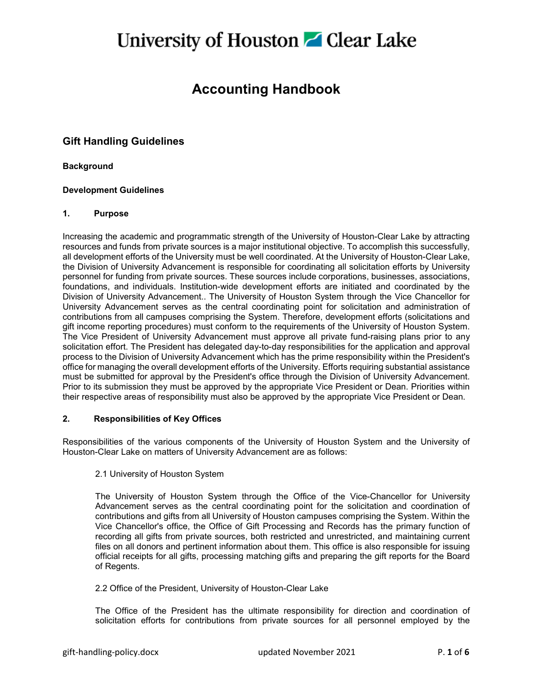### **Accounting Handbook**

### **Gift Handling Guidelines**

#### **Background**

#### **Development Guidelines**

#### **1. Purpose**

Increasing the academic and programmatic strength of the University of Houston-Clear Lake by attracting resources and funds from private sources is a major institutional objective. To accomplish this successfully, all development efforts of the University must be well coordinated. At the University of Houston-Clear Lake, the Division of University Advancement is responsible for coordinating all solicitation efforts by University personnel for funding from private sources. These sources include corporations, businesses, associations, foundations, and individuals. Institution-wide development efforts are initiated and coordinated by the Division of University Advancement.. The University of Houston System through the Vice Chancellor for University Advancement serves as the central coordinating point for solicitation and administration of contributions from all campuses comprising the System. Therefore, development efforts (solicitations and gift income reporting procedures) must conform to the requirements of the University of Houston System. The Vice President of University Advancement must approve all private fund-raising plans prior to any solicitation effort. The President has delegated day-to-day responsibilities for the application and approval process to the Division of University Advancement which has the prime responsibility within the President's office for managing the overall development efforts of the University. Efforts requiring substantial assistance must be submitted for approval by the President's office through the Division of University Advancement. Prior to its submission they must be approved by the appropriate Vice President or Dean. Priorities within their respective areas of responsibility must also be approved by the appropriate Vice President or Dean.

### **2. Responsibilities of Key Offices**

Responsibilities of the various components of the University of Houston System and the University of Houston-Clear Lake on matters of University Advancement are as follows:

#### 2.1 University of Houston System

The University of Houston System through the Office of the Vice-Chancellor for University Advancement serves as the central coordinating point for the solicitation and coordination of contributions and gifts from all University of Houston campuses comprising the System. Within the Vice Chancellor's office, the Office of Gift Processing and Records has the primary function of recording all gifts from private sources, both restricted and unrestricted, and maintaining current files on all donors and pertinent information about them. This office is also responsible for issuing official receipts for all gifts, processing matching gifts and preparing the gift reports for the Board of Regents.

#### 2.2 Office of the President, University of Houston-Clear Lake

The Office of the President has the ultimate responsibility for direction and coordination of solicitation efforts for contributions from private sources for all personnel employed by the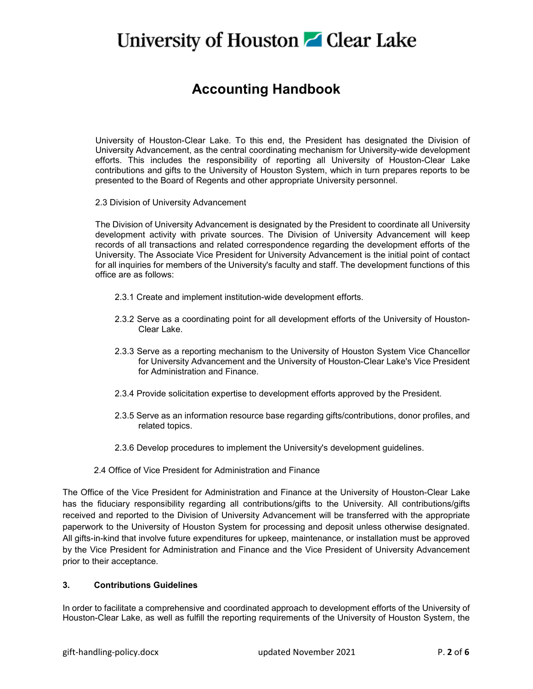### **Accounting Handbook**

University of Houston-Clear Lake. To this end, the President has designated the Division of University Advancement, as the central coordinating mechanism for University-wide development efforts. This includes the responsibility of reporting all University of Houston-Clear Lake contributions and gifts to the University of Houston System, which in turn prepares reports to be presented to the Board of Regents and other appropriate University personnel.

2.3 Division of University Advancement

The Division of University Advancement is designated by the President to coordinate all University development activity with private sources. The Division of University Advancement will keep records of all transactions and related correspondence regarding the development efforts of the University. The Associate Vice President for University Advancement is the initial point of contact for all inquiries for members of the University's faculty and staff. The development functions of this office are as follows:

- 2.3.1 Create and implement institution-wide development efforts.
- 2.3.2 Serve as a coordinating point for all development efforts of the University of Houston-Clear Lake.
- 2.3.3 Serve as a reporting mechanism to the University of Houston System Vice Chancellor for University Advancement and the University of Houston-Clear Lake's Vice President for Administration and Finance.
- 2.3.4 Provide solicitation expertise to development efforts approved by the President.
- 2.3.5 Serve as an information resource base regarding gifts/contributions, donor profiles, and related topics.
- 2.3.6 Develop procedures to implement the University's development guidelines.
- 2.4 Office of Vice President for Administration and Finance

The Office of the Vice President for Administration and Finance at the University of Houston-Clear Lake has the fiduciary responsibility regarding all contributions/gifts to the University. All contributions/gifts received and reported to the Division of University Advancement will be transferred with the appropriate paperwork to the University of Houston System for processing and deposit unless otherwise designated. All gifts-in-kind that involve future expenditures for upkeep, maintenance, or installation must be approved by the Vice President for Administration and Finance and the Vice President of University Advancement prior to their acceptance.

#### **3. Contributions Guidelines**

In order to facilitate a comprehensive and coordinated approach to development efforts of the University of Houston-Clear Lake, as well as fulfill the reporting requirements of the University of Houston System, the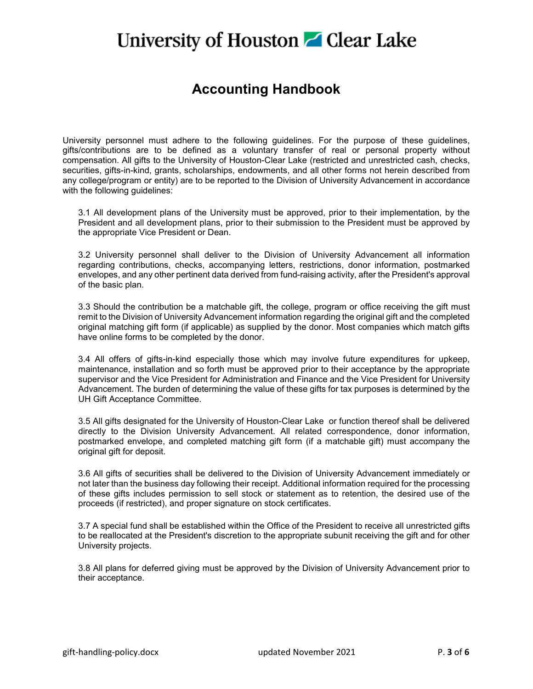### **Accounting Handbook**

University personnel must adhere to the following guidelines. For the purpose of these guidelines, gifts/contributions are to be defined as a voluntary transfer of real or personal property without compensation. All gifts to the University of Houston-Clear Lake (restricted and unrestricted cash, checks, securities, gifts-in-kind, grants, scholarships, endowments, and all other forms not herein described from any college/program or entity) are to be reported to the Division of University Advancement in accordance with the following guidelines:

3.1 All development plans of the University must be approved, prior to their implementation, by the President and all development plans, prior to their submission to the President must be approved by the appropriate Vice President or Dean.

3.2 University personnel shall deliver to the Division of University Advancement all information regarding contributions, checks, accompanying letters, restrictions, donor information, postmarked envelopes, and any other pertinent data derived from fund-raising activity, after the President's approval of the basic plan.

3.3 Should the contribution be a matchable gift, the college, program or office receiving the gift must remit to the Division of University Advancement information regarding the original gift and the completed original matching gift form (if applicable) as supplied by the donor. Most companies which match gifts have online forms to be completed by the donor.

3.4 All offers of gifts-in-kind especially those which may involve future expenditures for upkeep, maintenance, installation and so forth must be approved prior to their acceptance by the appropriate supervisor and the Vice President for Administration and Finance and the Vice President for University Advancement. The burden of determining the value of these gifts for tax purposes is determined by the UH Gift Acceptance Committee.

3.5 All gifts designated for the University of Houston-Clear Lake or function thereof shall be delivered directly to the Division University Advancement. All related correspondence, donor information, postmarked envelope, and completed matching gift form (if a matchable gift) must accompany the original gift for deposit.

3.6 All gifts of securities shall be delivered to the Division of University Advancement immediately or not later than the business day following their receipt. Additional information required for the processing of these gifts includes permission to sell stock or statement as to retention, the desired use of the proceeds (if restricted), and proper signature on stock certificates.

3.7 A special fund shall be established within the Office of the President to receive all unrestricted gifts to be reallocated at the President's discretion to the appropriate subunit receiving the gift and for other University projects.

3.8 All plans for deferred giving must be approved by the Division of University Advancement prior to their acceptance.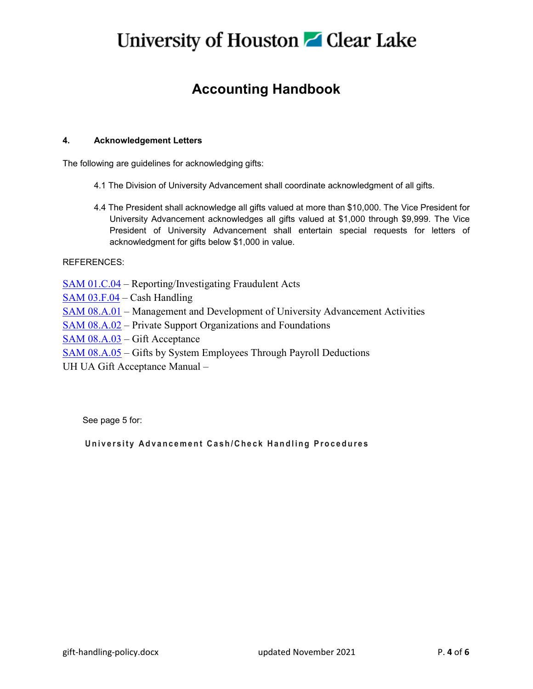### **Accounting Handbook**

### **4. Acknowledgement Letters**

The following are guidelines for acknowledging gifts:

- 4.1 The Division of University Advancement shall coordinate acknowledgment of all gifts.
- 4.4 The President shall acknowledge all gifts valued at more than \$10,000. The Vice President for University Advancement acknowledges all gifts valued at \$1,000 through \$9,999. The Vice President of University Advancement shall entertain special requests for letters of acknowledgment for gifts below \$1,000 in value.

#### REFERENCES:

[SAM 01.C.04](https://uhsystem.edu/compliance-ethics/_docs/sam/01/1c4.pdf) – Reporting/Investigating Fraudulent Acts

- [SAM 03.F.04](https://uhsystem.edu/compliance-ethics/_docs/sam/03/3f4.pdf) Cash Handling
- [SAM 08.A.01](https://uhsystem.edu/compliance-ethics/_docs/sam/08/8a1.pdf) Management and Development of University Advancement Activities
- [SAM 08.A.02](https://uhsystem.edu/compliance-ethics/_docs/sam/08/8a2.pdf) Private Support Organizations and Foundations
- [SAM 08.A.03](https://uhsystem.edu/compliance-ethics/_docs/sam/08/8a3.pdf) Gift Acceptance
- [SAM 08.A.05](https://uhsystem.edu/compliance-ethics/_docs/sam/08/8a5.pdf) Gifts by System Employees Through Payroll Deductions
- UH UA Gift Acceptance Manual –

See page 5 for:

### **University Advancement Cash/Check Handling Procedures**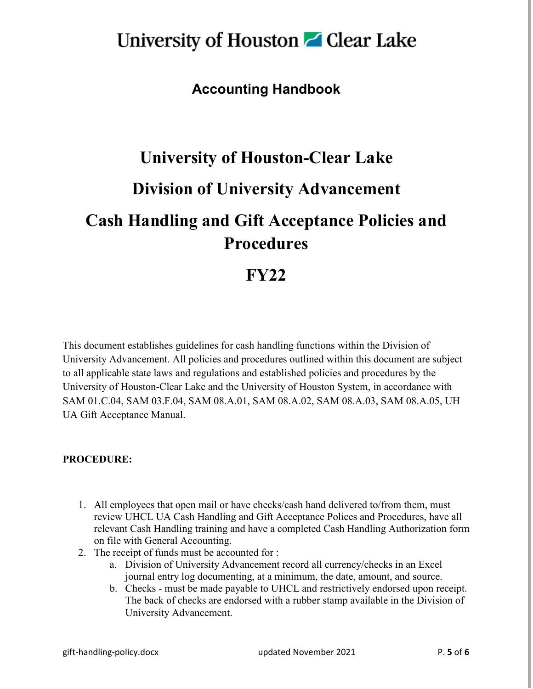### **Accounting Handbook**

# **University of Houston-Clear Lake Division of University Advancement Cash Handling and Gift Acceptance Policies and Procedures**

### **FY22**

This document establishes guidelines for cash handling functions within the Division of University Advancement. All policies and procedures outlined within this document are subject to all applicable state laws and regulations and established policies and procedures by the University of Houston-Clear Lake and the University of Houston System, in accordance with SAM 01.C.04, SAM 03.F.04, SAM 08.A.01, SAM 08.A.02, SAM 08.A.03, SAM 08.A.05, UH UA Gift Acceptance Manual.

### **PROCEDURE:**

- 1. All employees that open mail or have checks/cash hand delivered to/from them, must review UHCL UA Cash Handling and Gift Acceptance Polices and Procedures, have all relevant Cash Handling training and have a completed Cash Handling Authorization form on file with General Accounting.
- 2. The receipt of funds must be accounted for :
	- a. Division of University Advancement record all currency/checks in an Excel journal entry log documenting, at a minimum, the date, amount, and source.
	- b. Checks must be made payable to UHCL and restrictively endorsed upon receipt. The back of checks are endorsed with a rubber stamp available in the Division of University Advancement.